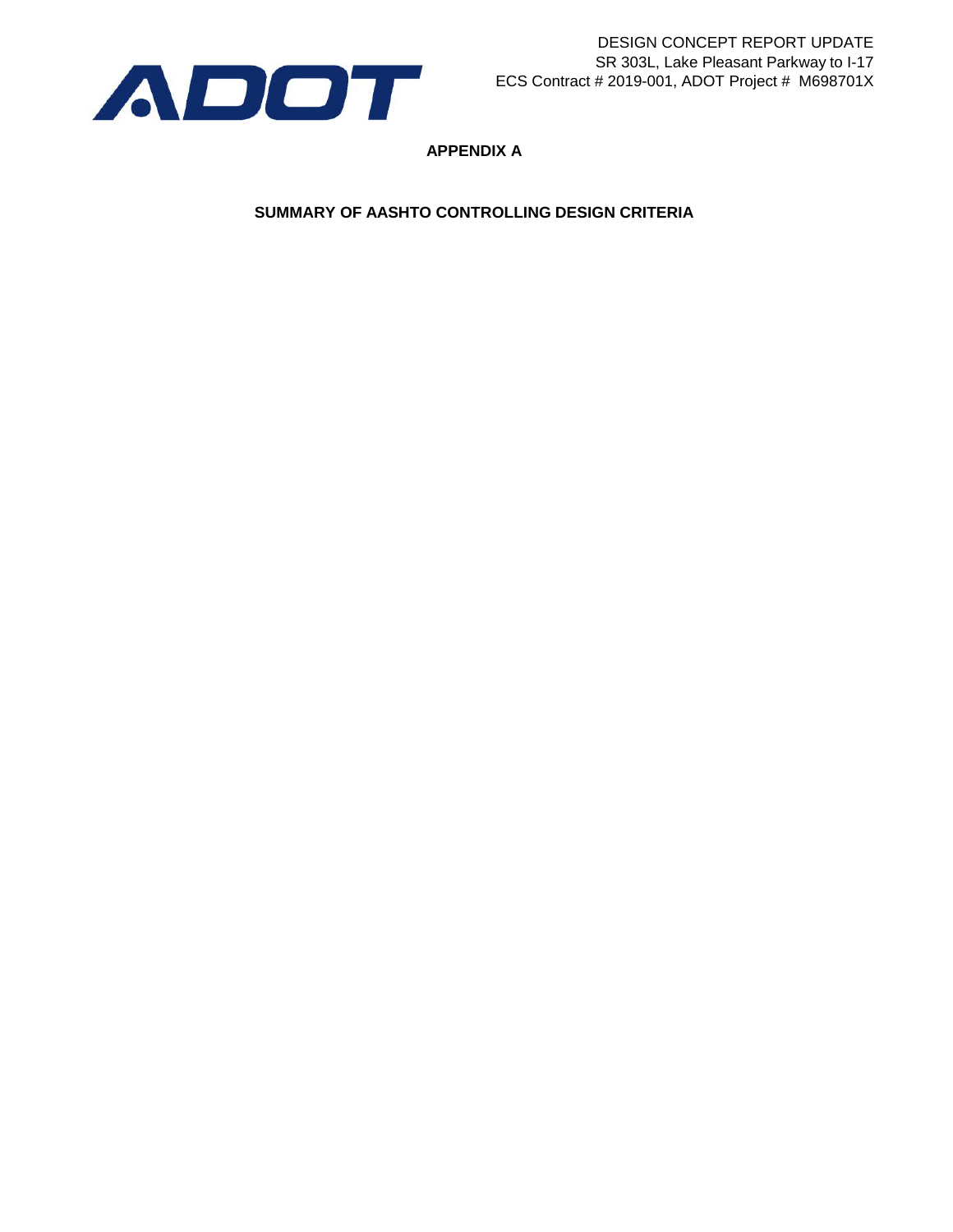

**APPENDIX A**

**SUMMARY OF AASHTO CONTROLLING DESIGN CRITERIA**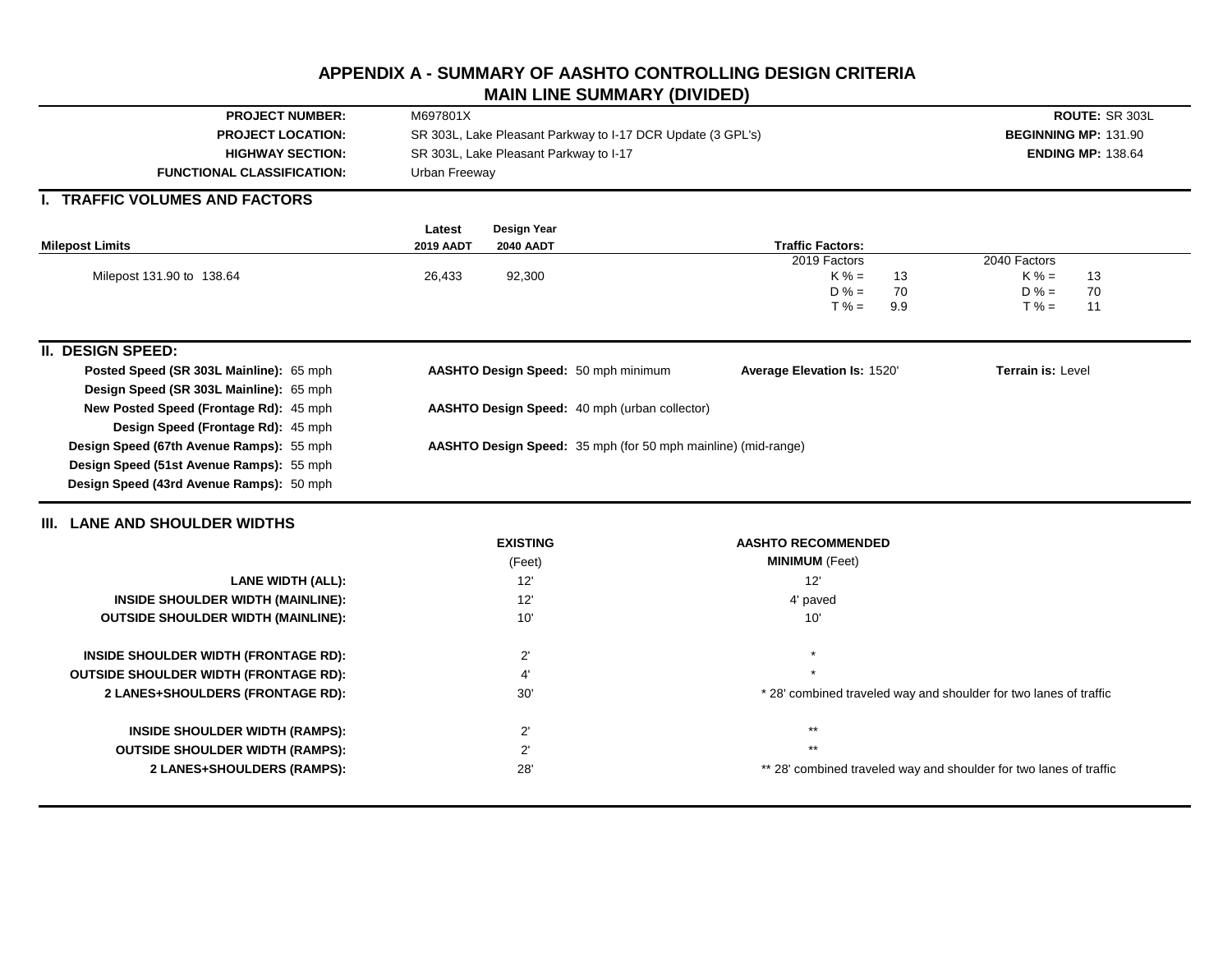# **APPENDIX A - SUMMARY OF AASHTO CONTROLLING DESIGN CRITERIA MAIN LINE SUMMARY (DIVIDED)**

| <b>PROJECT LOCATION:</b><br>SR 303L, Lake Pleasant Parkway to I-17 DCR Update (3 GPL's)<br><b>BEGINNING MP: 131.90</b><br>SR 303L, Lake Pleasant Parkway to I-17<br><b>HIGHWAY SECTION:</b><br><b>ENDING MP: 138.64</b><br><b>FUNCTIONAL CLASSIFICATION:</b><br>Urban Freeway<br><b>TRAFFIC VOLUMES AND FACTORS</b><br>Design Year<br>Latest<br><b>Traffic Factors:</b><br><b>Milepost Limits</b><br><b>2019 AADT</b><br><b>2040 AADT</b><br>2019 Factors<br>2040 Factors<br>Milepost 131.90 to 138.64<br>26,433<br>92,300<br>$K% =$<br>$K% =$<br>13<br>13<br>$D% =$<br>70<br>$D% =$<br>70<br>$T% =$<br>$T% =$<br>9.9<br>11<br><b>II. DESIGN SPEED:</b><br>Posted Speed (SR 303L Mainline): 65 mph<br>AASHTO Design Speed: 50 mph minimum<br>Average Elevation Is: 1520'<br><b>Terrain is: Level</b><br>Design Speed (SR 303L Mainline): 65 mph<br>New Posted Speed (Frontage Rd): 45 mph<br>AASHTO Design Speed: 40 mph (urban collector)<br>Design Speed (Frontage Rd): 45 mph<br>Design Speed (67th Avenue Ramps): 55 mph<br>AASHTO Design Speed: 35 mph (for 50 mph mainline) (mid-range)<br>Design Speed (51st Avenue Ramps): 55 mph<br>Design Speed (43rd Avenue Ramps): 50 mph<br>III. LANE AND SHOULDER WIDTHS<br><b>EXISTING</b><br><b>AASHTO RECOMMENDED</b><br><b>MINIMUM</b> (Feet)<br>(Feet)<br>12'<br>12'<br><b>LANE WIDTH (ALL):</b><br>INSIDE SHOULDER WIDTH (MAINLINE):<br>12'<br>4' paved<br>10'<br>10'<br><b>OUTSIDE SHOULDER WIDTH (MAINLINE):</b><br>$2^{\prime}$<br>INSIDE SHOULDER WIDTH (FRONTAGE RD):<br><b>OUTSIDE SHOULDER WIDTH (FRONTAGE RD):</b><br>4'<br>30'<br>2 LANES+SHOULDERS (FRONTAGE RD):<br>* 28' combined traveled way and shoulder for two lanes of traffic<br>$***$<br>$2^{\prime}$<br><b>INSIDE SHOULDER WIDTH (RAMPS):</b><br>$***$<br>$2^{\prime}$<br><b>OUTSIDE SHOULDER WIDTH (RAMPS):</b><br>28'<br>2 LANES+SHOULDERS (RAMPS):<br>** 28' combined traveled way and shoulder for two lanes of traffic | <b>PROJECT NUMBER:</b> | M697801X |  | ROUTE: SR 303L |  |  |  |  |  |  |  |
|------------------------------------------------------------------------------------------------------------------------------------------------------------------------------------------------------------------------------------------------------------------------------------------------------------------------------------------------------------------------------------------------------------------------------------------------------------------------------------------------------------------------------------------------------------------------------------------------------------------------------------------------------------------------------------------------------------------------------------------------------------------------------------------------------------------------------------------------------------------------------------------------------------------------------------------------------------------------------------------------------------------------------------------------------------------------------------------------------------------------------------------------------------------------------------------------------------------------------------------------------------------------------------------------------------------------------------------------------------------------------------------------------------------------------------------------------------------------------------------------------------------------------------------------------------------------------------------------------------------------------------------------------------------------------------------------------------------------------------------------------------------------------------------------------------------------------------------------------------------------------------------------------------------------------------------------------|------------------------|----------|--|----------------|--|--|--|--|--|--|--|
|                                                                                                                                                                                                                                                                                                                                                                                                                                                                                                                                                                                                                                                                                                                                                                                                                                                                                                                                                                                                                                                                                                                                                                                                                                                                                                                                                                                                                                                                                                                                                                                                                                                                                                                                                                                                                                                                                                                                                      |                        |          |  |                |  |  |  |  |  |  |  |
|                                                                                                                                                                                                                                                                                                                                                                                                                                                                                                                                                                                                                                                                                                                                                                                                                                                                                                                                                                                                                                                                                                                                                                                                                                                                                                                                                                                                                                                                                                                                                                                                                                                                                                                                                                                                                                                                                                                                                      |                        |          |  |                |  |  |  |  |  |  |  |
|                                                                                                                                                                                                                                                                                                                                                                                                                                                                                                                                                                                                                                                                                                                                                                                                                                                                                                                                                                                                                                                                                                                                                                                                                                                                                                                                                                                                                                                                                                                                                                                                                                                                                                                                                                                                                                                                                                                                                      |                        |          |  |                |  |  |  |  |  |  |  |
|                                                                                                                                                                                                                                                                                                                                                                                                                                                                                                                                                                                                                                                                                                                                                                                                                                                                                                                                                                                                                                                                                                                                                                                                                                                                                                                                                                                                                                                                                                                                                                                                                                                                                                                                                                                                                                                                                                                                                      |                        |          |  |                |  |  |  |  |  |  |  |
|                                                                                                                                                                                                                                                                                                                                                                                                                                                                                                                                                                                                                                                                                                                                                                                                                                                                                                                                                                                                                                                                                                                                                                                                                                                                                                                                                                                                                                                                                                                                                                                                                                                                                                                                                                                                                                                                                                                                                      |                        |          |  |                |  |  |  |  |  |  |  |
|                                                                                                                                                                                                                                                                                                                                                                                                                                                                                                                                                                                                                                                                                                                                                                                                                                                                                                                                                                                                                                                                                                                                                                                                                                                                                                                                                                                                                                                                                                                                                                                                                                                                                                                                                                                                                                                                                                                                                      |                        |          |  |                |  |  |  |  |  |  |  |
|                                                                                                                                                                                                                                                                                                                                                                                                                                                                                                                                                                                                                                                                                                                                                                                                                                                                                                                                                                                                                                                                                                                                                                                                                                                                                                                                                                                                                                                                                                                                                                                                                                                                                                                                                                                                                                                                                                                                                      |                        |          |  |                |  |  |  |  |  |  |  |
|                                                                                                                                                                                                                                                                                                                                                                                                                                                                                                                                                                                                                                                                                                                                                                                                                                                                                                                                                                                                                                                                                                                                                                                                                                                                                                                                                                                                                                                                                                                                                                                                                                                                                                                                                                                                                                                                                                                                                      |                        |          |  |                |  |  |  |  |  |  |  |
|                                                                                                                                                                                                                                                                                                                                                                                                                                                                                                                                                                                                                                                                                                                                                                                                                                                                                                                                                                                                                                                                                                                                                                                                                                                                                                                                                                                                                                                                                                                                                                                                                                                                                                                                                                                                                                                                                                                                                      |                        |          |  |                |  |  |  |  |  |  |  |
|                                                                                                                                                                                                                                                                                                                                                                                                                                                                                                                                                                                                                                                                                                                                                                                                                                                                                                                                                                                                                                                                                                                                                                                                                                                                                                                                                                                                                                                                                                                                                                                                                                                                                                                                                                                                                                                                                                                                                      |                        |          |  |                |  |  |  |  |  |  |  |
|                                                                                                                                                                                                                                                                                                                                                                                                                                                                                                                                                                                                                                                                                                                                                                                                                                                                                                                                                                                                                                                                                                                                                                                                                                                                                                                                                                                                                                                                                                                                                                                                                                                                                                                                                                                                                                                                                                                                                      |                        |          |  |                |  |  |  |  |  |  |  |
|                                                                                                                                                                                                                                                                                                                                                                                                                                                                                                                                                                                                                                                                                                                                                                                                                                                                                                                                                                                                                                                                                                                                                                                                                                                                                                                                                                                                                                                                                                                                                                                                                                                                                                                                                                                                                                                                                                                                                      |                        |          |  |                |  |  |  |  |  |  |  |
|                                                                                                                                                                                                                                                                                                                                                                                                                                                                                                                                                                                                                                                                                                                                                                                                                                                                                                                                                                                                                                                                                                                                                                                                                                                                                                                                                                                                                                                                                                                                                                                                                                                                                                                                                                                                                                                                                                                                                      |                        |          |  |                |  |  |  |  |  |  |  |
|                                                                                                                                                                                                                                                                                                                                                                                                                                                                                                                                                                                                                                                                                                                                                                                                                                                                                                                                                                                                                                                                                                                                                                                                                                                                                                                                                                                                                                                                                                                                                                                                                                                                                                                                                                                                                                                                                                                                                      |                        |          |  |                |  |  |  |  |  |  |  |
|                                                                                                                                                                                                                                                                                                                                                                                                                                                                                                                                                                                                                                                                                                                                                                                                                                                                                                                                                                                                                                                                                                                                                                                                                                                                                                                                                                                                                                                                                                                                                                                                                                                                                                                                                                                                                                                                                                                                                      |                        |          |  |                |  |  |  |  |  |  |  |
|                                                                                                                                                                                                                                                                                                                                                                                                                                                                                                                                                                                                                                                                                                                                                                                                                                                                                                                                                                                                                                                                                                                                                                                                                                                                                                                                                                                                                                                                                                                                                                                                                                                                                                                                                                                                                                                                                                                                                      |                        |          |  |                |  |  |  |  |  |  |  |
|                                                                                                                                                                                                                                                                                                                                                                                                                                                                                                                                                                                                                                                                                                                                                                                                                                                                                                                                                                                                                                                                                                                                                                                                                                                                                                                                                                                                                                                                                                                                                                                                                                                                                                                                                                                                                                                                                                                                                      |                        |          |  |                |  |  |  |  |  |  |  |
|                                                                                                                                                                                                                                                                                                                                                                                                                                                                                                                                                                                                                                                                                                                                                                                                                                                                                                                                                                                                                                                                                                                                                                                                                                                                                                                                                                                                                                                                                                                                                                                                                                                                                                                                                                                                                                                                                                                                                      |                        |          |  |                |  |  |  |  |  |  |  |
|                                                                                                                                                                                                                                                                                                                                                                                                                                                                                                                                                                                                                                                                                                                                                                                                                                                                                                                                                                                                                                                                                                                                                                                                                                                                                                                                                                                                                                                                                                                                                                                                                                                                                                                                                                                                                                                                                                                                                      |                        |          |  |                |  |  |  |  |  |  |  |
|                                                                                                                                                                                                                                                                                                                                                                                                                                                                                                                                                                                                                                                                                                                                                                                                                                                                                                                                                                                                                                                                                                                                                                                                                                                                                                                                                                                                                                                                                                                                                                                                                                                                                                                                                                                                                                                                                                                                                      |                        |          |  |                |  |  |  |  |  |  |  |
|                                                                                                                                                                                                                                                                                                                                                                                                                                                                                                                                                                                                                                                                                                                                                                                                                                                                                                                                                                                                                                                                                                                                                                                                                                                                                                                                                                                                                                                                                                                                                                                                                                                                                                                                                                                                                                                                                                                                                      |                        |          |  |                |  |  |  |  |  |  |  |
|                                                                                                                                                                                                                                                                                                                                                                                                                                                                                                                                                                                                                                                                                                                                                                                                                                                                                                                                                                                                                                                                                                                                                                                                                                                                                                                                                                                                                                                                                                                                                                                                                                                                                                                                                                                                                                                                                                                                                      |                        |          |  |                |  |  |  |  |  |  |  |
|                                                                                                                                                                                                                                                                                                                                                                                                                                                                                                                                                                                                                                                                                                                                                                                                                                                                                                                                                                                                                                                                                                                                                                                                                                                                                                                                                                                                                                                                                                                                                                                                                                                                                                                                                                                                                                                                                                                                                      |                        |          |  |                |  |  |  |  |  |  |  |
|                                                                                                                                                                                                                                                                                                                                                                                                                                                                                                                                                                                                                                                                                                                                                                                                                                                                                                                                                                                                                                                                                                                                                                                                                                                                                                                                                                                                                                                                                                                                                                                                                                                                                                                                                                                                                                                                                                                                                      |                        |          |  |                |  |  |  |  |  |  |  |
|                                                                                                                                                                                                                                                                                                                                                                                                                                                                                                                                                                                                                                                                                                                                                                                                                                                                                                                                                                                                                                                                                                                                                                                                                                                                                                                                                                                                                                                                                                                                                                                                                                                                                                                                                                                                                                                                                                                                                      |                        |          |  |                |  |  |  |  |  |  |  |
|                                                                                                                                                                                                                                                                                                                                                                                                                                                                                                                                                                                                                                                                                                                                                                                                                                                                                                                                                                                                                                                                                                                                                                                                                                                                                                                                                                                                                                                                                                                                                                                                                                                                                                                                                                                                                                                                                                                                                      |                        |          |  |                |  |  |  |  |  |  |  |
|                                                                                                                                                                                                                                                                                                                                                                                                                                                                                                                                                                                                                                                                                                                                                                                                                                                                                                                                                                                                                                                                                                                                                                                                                                                                                                                                                                                                                                                                                                                                                                                                                                                                                                                                                                                                                                                                                                                                                      |                        |          |  |                |  |  |  |  |  |  |  |
|                                                                                                                                                                                                                                                                                                                                                                                                                                                                                                                                                                                                                                                                                                                                                                                                                                                                                                                                                                                                                                                                                                                                                                                                                                                                                                                                                                                                                                                                                                                                                                                                                                                                                                                                                                                                                                                                                                                                                      |                        |          |  |                |  |  |  |  |  |  |  |
|                                                                                                                                                                                                                                                                                                                                                                                                                                                                                                                                                                                                                                                                                                                                                                                                                                                                                                                                                                                                                                                                                                                                                                                                                                                                                                                                                                                                                                                                                                                                                                                                                                                                                                                                                                                                                                                                                                                                                      |                        |          |  |                |  |  |  |  |  |  |  |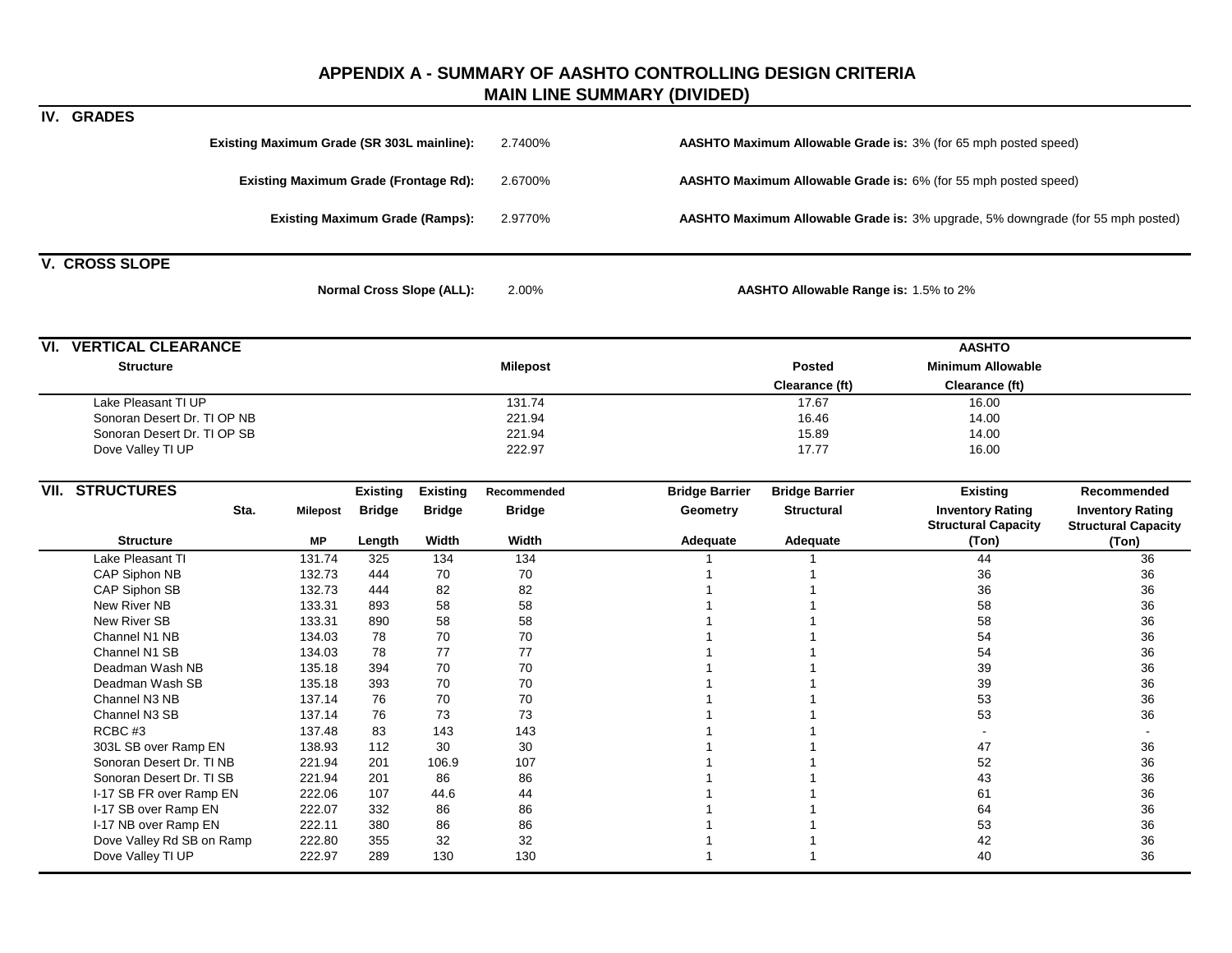## **APPENDIX A - SUMMARY OF AASHTO CONTROLLING DESIGN CRITERIA MAIN LINE SUMMARY (DIVIDED)**

|                               |                                              |                 |                                  |                 | <b>WAIN LINE SOWINART (DIVIDED)</b>   |                                                                 |                                                                                 |                                                       |  |  |  |  |
|-------------------------------|----------------------------------------------|-----------------|----------------------------------|-----------------|---------------------------------------|-----------------------------------------------------------------|---------------------------------------------------------------------------------|-------------------------------------------------------|--|--|--|--|
| IV. GRADES                    |                                              |                 |                                  |                 |                                       |                                                                 |                                                                                 |                                                       |  |  |  |  |
|                               | Existing Maximum Grade (SR 303L mainline):   |                 |                                  | 2.7400%         |                                       | AASHTO Maximum Allowable Grade is: 3% (for 65 mph posted speed) |                                                                                 |                                                       |  |  |  |  |
|                               | <b>Existing Maximum Grade (Frontage Rd):</b> |                 |                                  | 2.6700%         |                                       | AASHTO Maximum Allowable Grade is: 6% (for 55 mph posted speed) |                                                                                 |                                                       |  |  |  |  |
|                               | <b>Existing Maximum Grade (Ramps):</b>       |                 |                                  | 2.9770%         |                                       |                                                                 | AASHTO Maximum Allowable Grade is: 3% upgrade, 5% downgrade (for 55 mph posted) |                                                       |  |  |  |  |
|                               |                                              |                 |                                  |                 |                                       |                                                                 |                                                                                 |                                                       |  |  |  |  |
| <b>V. CROSS SLOPE</b>         |                                              |                 | <b>Normal Cross Slope (ALL):</b> | 2.00%           | AASHTO Allowable Range is: 1.5% to 2% |                                                                 |                                                                                 |                                                       |  |  |  |  |
| <b>VI. VERTICAL CLEARANCE</b> |                                              |                 |                                  |                 |                                       |                                                                 | <b>AASHTO</b>                                                                   |                                                       |  |  |  |  |
| <b>Structure</b>              |                                              |                 |                                  | <b>Milepost</b> |                                       | <b>Posted</b><br>Clearance (ft)                                 | <b>Minimum Allowable</b><br>Clearance (ft)                                      |                                                       |  |  |  |  |
| Lake Pleasant TI UP           |                                              |                 |                                  | 131.74          |                                       | 17.67                                                           | 16.00                                                                           |                                                       |  |  |  |  |
| Sonoran Desert Dr. TI OP NB   |                                              |                 |                                  | 221.94          |                                       | 16.46                                                           | 14.00                                                                           |                                                       |  |  |  |  |
| Sonoran Desert Dr. TI OP SB   |                                              |                 |                                  | 221.94          |                                       | 15.89                                                           | 14.00                                                                           |                                                       |  |  |  |  |
| Dove Valley TI UP             |                                              |                 |                                  | 222.97          |                                       | 17.77                                                           | 16.00                                                                           |                                                       |  |  |  |  |
| <b>VII. STRUCTURES</b>        |                                              | <b>Existing</b> | <b>Existing</b>                  | Recommended     | <b>Bridge Barrier</b>                 | <b>Bridge Barrier</b>                                           | <b>Existing</b>                                                                 | Recommended                                           |  |  |  |  |
| Sta.                          | <b>Milepost</b>                              | <b>Bridge</b>   | <b>Bridge</b>                    | <b>Bridge</b>   | Geometry                              | <b>Structural</b>                                               | <b>Inventory Rating</b><br><b>Structural Capacity</b>                           | <b>Inventory Rating</b><br><b>Structural Capacity</b> |  |  |  |  |
| <b>Structure</b>              | MР                                           | Length          | Width                            | Width           | Adequate                              | Adequate                                                        | (Ton)                                                                           | (Ton)                                                 |  |  |  |  |
| Lake Pleasant TI              | 131.74                                       | 325             | 134                              | 134             |                                       |                                                                 | 44                                                                              | 36                                                    |  |  |  |  |
| CAP Siphon NB                 | 132.73                                       | 444             | 70                               | 70              |                                       |                                                                 | 36                                                                              | 36                                                    |  |  |  |  |
| CAP Siphon SB                 | 132.73                                       | 444             | 82                               | 82              |                                       |                                                                 | 36                                                                              | 36                                                    |  |  |  |  |
| New River NB                  | 133.31                                       | 893             | 58                               | 58              |                                       |                                                                 | 58                                                                              | 36                                                    |  |  |  |  |
| New River SB                  | 133.31                                       | 890             | 58                               | 58              |                                       |                                                                 | 58                                                                              | 36                                                    |  |  |  |  |
| Channel N1 NB                 | 134.03                                       | 78              | 70                               | 70              |                                       |                                                                 | 54                                                                              | 36                                                    |  |  |  |  |
| Channel N1 SB                 | 134.03                                       | 78              | 77                               | $77\,$          |                                       |                                                                 | 54                                                                              | 36                                                    |  |  |  |  |
| Deadman Wash NB               | 135.18                                       | 394             | 70                               | 70              |                                       |                                                                 | 39                                                                              | 36                                                    |  |  |  |  |
| Deadman Wash SB               | 135.18                                       | 393             | 70                               | 70              |                                       |                                                                 | 39                                                                              | 36                                                    |  |  |  |  |
| Channel N3 NB                 | 137.14                                       | 76              | 70                               | 70              |                                       |                                                                 | 53                                                                              | 36                                                    |  |  |  |  |
| Channel N3 SB                 | 137.14                                       | 76              | 73                               | 73              |                                       |                                                                 | 53                                                                              | 36                                                    |  |  |  |  |
| RCBC#3                        | 137.48                                       | 83              | 143                              | 143             |                                       |                                                                 |                                                                                 |                                                       |  |  |  |  |
| 303L SB over Ramp EN          | 138.93                                       | 112             | 30                               | 30              |                                       |                                                                 | 47                                                                              | 36                                                    |  |  |  |  |
| Sonoran Desert Dr. TI NB      | 221.94                                       | 201             | 106.9                            | 107             |                                       |                                                                 | 52                                                                              | 36                                                    |  |  |  |  |
| Sonoran Desert Dr. TI SB      | 221.94                                       | 201             | 86                               | 86              |                                       |                                                                 | 43                                                                              | 36                                                    |  |  |  |  |
| I-17 SB FR over Ramp EN       | 222.06                                       | 107             | 44.6                             | 44              |                                       |                                                                 | 61                                                                              | 36                                                    |  |  |  |  |
| I-17 SB over Ramp EN          | 222.07                                       | 332             | 86                               | 86              |                                       |                                                                 | 64                                                                              | 36                                                    |  |  |  |  |
| I-17 NB over Ramp EN          | 222.11                                       | 380             | 86                               | 86              |                                       |                                                                 | 53                                                                              | 36                                                    |  |  |  |  |
| Dove Valley Rd SB on Ramp     | 222.80                                       | 355             | 32                               | 32              |                                       |                                                                 | 42                                                                              | 36                                                    |  |  |  |  |
| Dove Valley TI UP             | 222.97                                       | 289             | 130                              | 130             | -1                                    | 1                                                               | 40                                                                              | 36                                                    |  |  |  |  |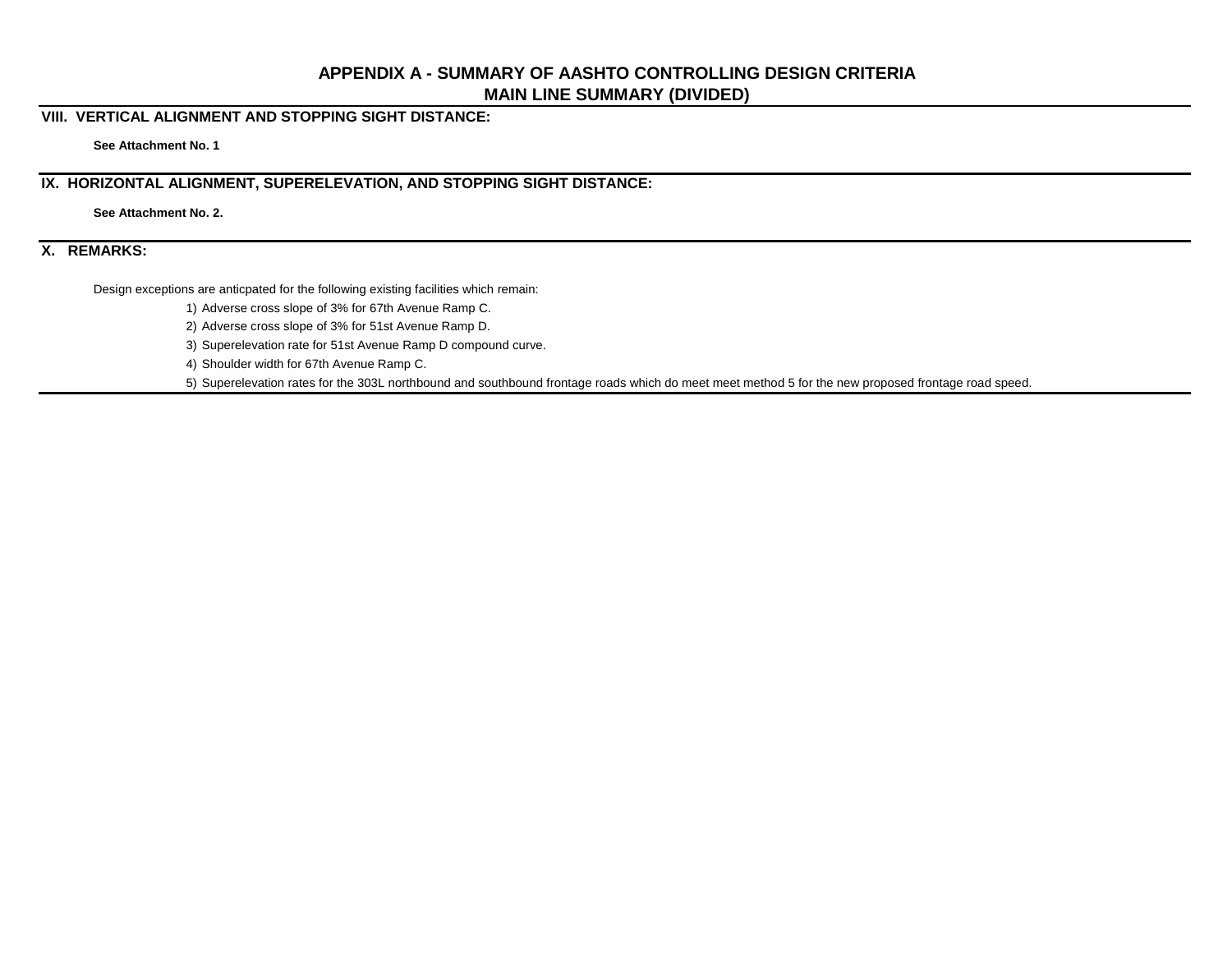# **APPENDIX A - SUMMARY OF AASHTO CONTROLLING DESIGN CRITERIA MAIN LINE SUMMARY (DIVIDED)**

### **VIII. VERTICAL ALIGNMENT AND STOPPING SIGHT DISTANCE:**

**See Attachment No. 1**

# **IX. HORIZONTAL ALIGNMENT, SUPERELEVATION, AND STOPPING SIGHT DISTANCE:**

**See Attachment No. 2.**

### **X. REMARKS:**

Design exceptions are anticpated for the following existing facilities which remain:

1) Adverse cross slope of 3% for 67th Avenue Ramp C.

2) Adverse cross slope of 3% for 51st Avenue Ramp D.

3) Superelevation rate for 51st Avenue Ramp D compound curve.

4) Shoulder width for 67th Avenue Ramp C.

5) Superelevation rates for the 303L northbound and southbound frontage roads which do meet meet method 5 for the new proposed frontage road speed.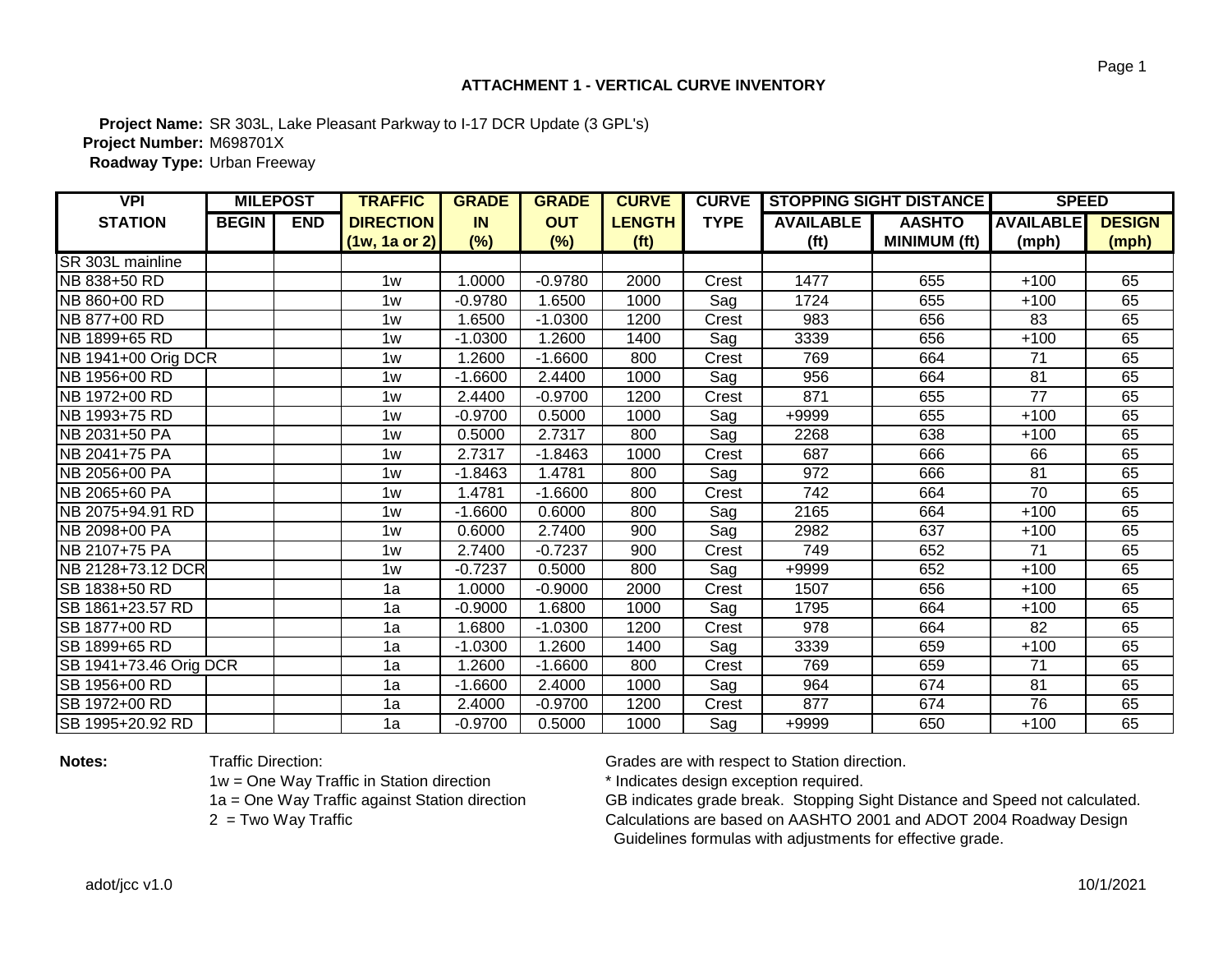## **ATTACHMENT 1 - VERTICAL CURVE INVENTORY**

**Project Name:** SR 303L, Lake Pleasant Parkway to I-17 DCR Update (3 GPL's) **Project Number:** M698701X **Roadway Type:** Urban Freeway

| <b>VPI</b>             | <b>MILEPOST</b> |            | <b>TRAFFIC</b>   | <b>GRADE</b> | <b>GRADE</b> | <b>CURVE</b>      | <b>CURVE</b> | <b>STOPPING SIGHT DISTANCE</b> |                     | <b>SPEED</b>     |               |
|------------------------|-----------------|------------|------------------|--------------|--------------|-------------------|--------------|--------------------------------|---------------------|------------------|---------------|
| <b>STATION</b>         | <b>BEGIN</b>    | <b>END</b> | <b>DIRECTION</b> | <b>IN</b>    | <b>OUT</b>   | <b>LENGTH</b>     | <b>TYPE</b>  | <b>AVAILABLE</b>               | <b>AASHTO</b>       | <b>AVAILABLE</b> | <b>DESIGN</b> |
|                        |                 |            | $(1w, 1a$ or 2)  | $(\%)$       | (%)          | (f <sup>t</sup> ) |              | (f <sup>t</sup> )              | <b>MINIMUM (ft)</b> | (mph)            | (mph)         |
| SR 303L mainline       |                 |            |                  |              |              |                   |              |                                |                     |                  |               |
| NB 838+50 RD           |                 |            | 1w               | 1.0000       | $-0.9780$    | 2000              | Crest        | 1477                           | 655                 | $+100$           | 65            |
| NB 860+00 RD           |                 |            | 1w               | $-0.9780$    | 1.6500       | 1000              | Sag          | 1724                           | 655                 | $+100$           | 65            |
| NB 877+00 RD           |                 |            | 1w               | 1.6500       | $-1.0300$    | 1200              | Crest        | 983                            | 656                 | 83               | 65            |
| NB 1899+65 RD          |                 |            | 1w               | $-1.0300$    | 1.2600       | 1400              | Sag          | 3339                           | 656                 | $+100$           | 65            |
| NB 1941+00 Orig DCR    |                 |            | 1w               | 1.2600       | $-1.6600$    | 800               | Crest        | 769                            | 664                 | 71               | 65            |
| NB 1956+00 RD          |                 |            | 1w               | $-1.6600$    | 2.4400       | 1000              | Sag          | 956                            | 664                 | $\overline{81}$  | 65            |
| NB 1972+00 RD          |                 |            | 1w               | 2.4400       | $-0.9700$    | 1200              | Crest        | 871                            | 655                 | 77               | 65            |
| NB 1993+75 RD          |                 |            | 1w               | $-0.9700$    | 0.5000       | 1000              | Sag          | +9999                          | 655                 | $+100$           | 65            |
| NB 2031+50 PA          |                 |            | 1w               | 0.5000       | 2.7317       | 800               | Sag          | 2268                           | 638                 | $+100$           | 65            |
| NB 2041+75 PA          |                 |            | 1w               | 2.7317       | $-1.8463$    | 1000              | Crest        | 687                            | 666                 | 66               | 65            |
| NB 2056+00 PA          |                 |            | 1w               | $-1.8463$    | 1.4781       | 800               | Sag          | 972                            | 666                 | $\overline{81}$  | 65            |
| NB 2065+60 PA          |                 |            | 1w               | 1.4781       | $-1.6600$    | 800               | Crest        | $\overline{742}$               | 664                 | $\overline{70}$  | 65            |
| NB 2075+94.91 RD       |                 |            | 1w               | $-1.6600$    | 0.6000       | 800               | Sag          | 2165                           | 664                 | $+100$           | 65            |
| NB 2098+00 PA          |                 |            | 1w               | 0.6000       | 2.7400       | $\overline{900}$  | Sag          | 2982                           | 637                 | $+100$           | 65            |
| NB 2107+75 PA          |                 |            | 1w               | 2.7400       | $-0.7237$    | 900               | Crest        | 749                            | 652                 | 71               | 65            |
| NB 2128+73.12 DCR      |                 |            | 1w               | $-0.7237$    | 0.5000       | 800               | Sag          | +9999                          | 652                 | $+100$           | 65            |
| SB 1838+50 RD          |                 |            | 1a               | 1.0000       | $-0.9000$    | 2000              | Crest        | 1507                           | 656                 | $+100$           | 65            |
| SB 1861+23.57 RD       |                 |            | 1a               | $-0.9000$    | 1.6800       | 1000              | Sag          | 1795                           | 664                 | $+100$           | 65            |
| SB 1877+00 RD          |                 |            | 1a               | 1.6800       | $-1.0300$    | 1200              | Crest        | 978                            | 664                 | 82               | 65            |
| SB 1899+65 RD          |                 |            | 1a               | $-1.0300$    | 1.2600       | 1400              | Sag          | 3339                           | 659                 | $+100$           | 65            |
| SB 1941+73.46 Orig DCR |                 |            | 1a               | 1.2600       | $-1.6600$    | 800               | Crest        | 769                            | 659                 | 71               | 65            |
| SB 1956+00 RD          |                 |            | 1a               | $-1.6600$    | 2.4000       | 1000              | Sag          | 964                            | 674                 | $\overline{81}$  | 65            |
| SB 1972+00 RD          |                 |            | 1a               | 2.4000       | $-0.9700$    | 1200              | Crest        | 877                            | 674                 | 76               | 65            |
| SB 1995+20.92 RD       |                 |            | 1a               | $-0.9700$    | 0.5000       | 1000              | Sag          | +9999                          | 650                 | $+100$           | 65            |

1w = One Way Traffic in Station direction \* 1 \* Indicates design exception required.<br>1a = One Way Traffic against Station direction GB indicates grade break. Stopping S

**Notes:** Traffic Direction: Traffic Direction: Grades are with respect to Station direction.

GB indicates grade break. Stopping Sight Distance and Speed not calculated. 2 = Two Way Traffic **Exercise 2 and Structure Calculations are based on AASHTO 2001 and ADOT 2004 Roadway Design** Guidelines formulas with adjustments for effective grade.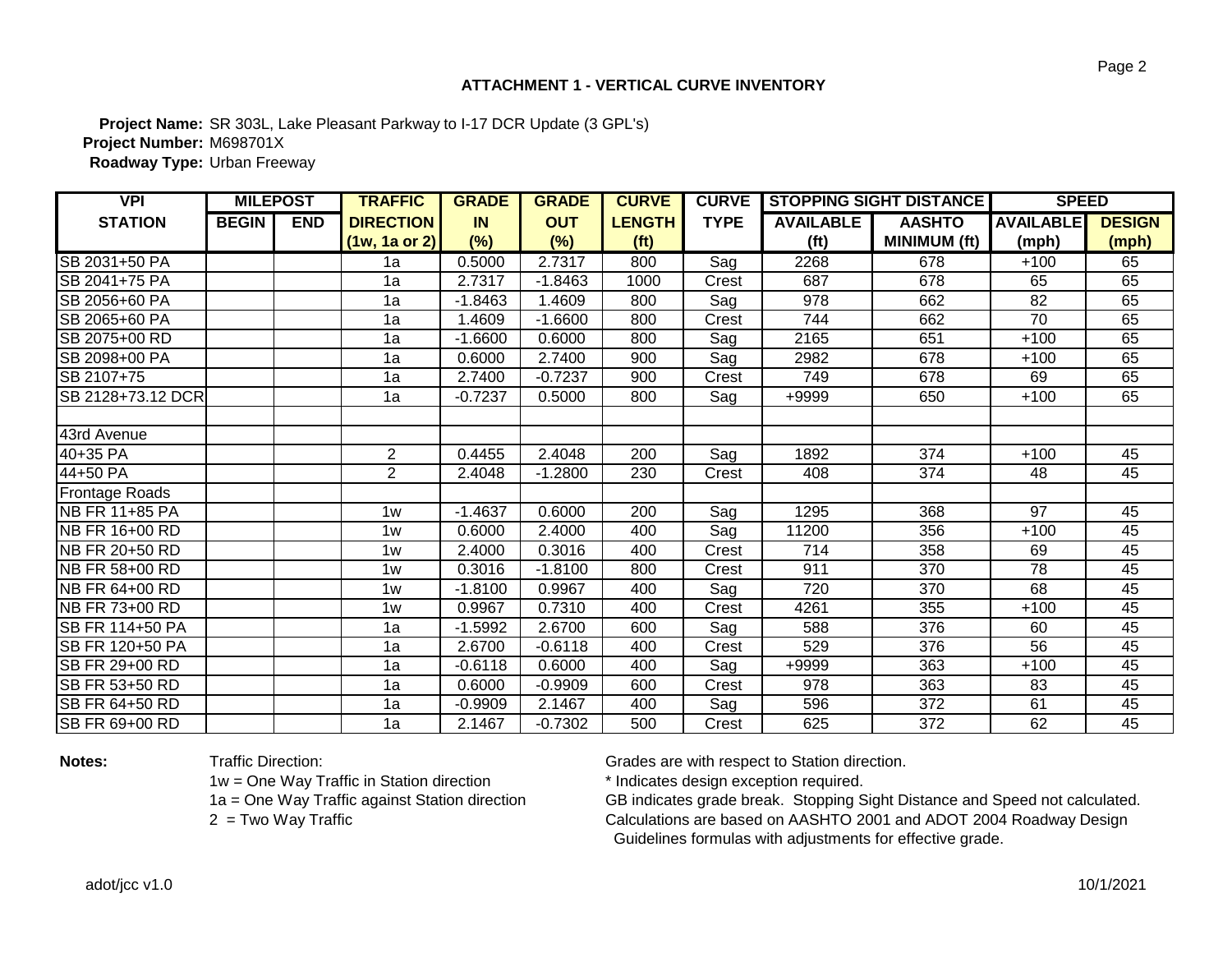## **ATTACHMENT 1 - VERTICAL CURVE INVENTORY**

**Project Name:** SR 303L, Lake Pleasant Parkway to I-17 DCR Update (3 GPL's) **Project Number:** M698701X **Roadway Type:** Urban Freeway

| <b>VPI</b>             | <b>MILEPOST</b> |            | <b>TRAFFIC</b>   | <b>GRADE</b> | <b>GRADE</b> | <b>CURVE</b>      | <b>CURVE</b>      | <b>STOPPING SIGHT DISTANCE</b> |                     | <b>SPEED</b>     |               |
|------------------------|-----------------|------------|------------------|--------------|--------------|-------------------|-------------------|--------------------------------|---------------------|------------------|---------------|
| <b>STATION</b>         | <b>BEGIN</b>    | <b>END</b> | <b>DIRECTION</b> | <b>IN</b>    | <b>OUT</b>   | <b>LENGTH</b>     | <b>TYPE</b>       | <b>AVAILABLE</b>               | <b>AASHTO</b>       | <b>AVAILABLE</b> | <b>DESIGN</b> |
|                        |                 |            | $(1w, 1a$ or 2)  | (%)          | (%)          | (f <sup>t</sup> ) |                   | (f <sup>t</sup> )              | <b>MINIMUM (ft)</b> | (mph)            | (mph)         |
| SB 2031+50 PA          |                 |            | 1a               | 0.5000       | 2.7317       | 800               | Sag               | 2268                           | 678                 | $+100$           | 65            |
| SB 2041+75 PA          |                 |            | 1a               | 2.7317       | $-1.8463$    | 1000              | Crest             | 687                            | 678                 | 65               | 65            |
| SB 2056+60 PA          |                 |            | 1a               | $-1.8463$    | .4609        | 800               | Sag               | 978                            | 662                 | 82               | 65            |
| SB 2065+60 PA          |                 |            | 1a               | 1.4609       | $-1.6600$    | 800               | Crest             | 744                            | 662                 | $\overline{70}$  | 65            |
| SB 2075+00 RD          |                 |            | 1a               | $-1.6600$    | 0.6000       | 800               | Sag               | 2165                           | 651                 | $+100$           | 65            |
| SB 2098+00 PA          |                 |            | 1a               | 0.6000       | 2.7400       | 900               | Sag               | 2982                           | 678                 | $+100$           | 65            |
| SB 2107+75             |                 |            | 1a               | 2.7400       | $-0.7237$    | 900               | Crest             | 749                            | 678                 | 69               | 65            |
| SB 2128+73.12 DCR      |                 |            | 1a               | $-0.7237$    | 0.5000       | 800               | Sag               | +9999                          | 650                 | $+100$           | 65            |
|                        |                 |            |                  |              |              |                   |                   |                                |                     |                  |               |
| 43rd Avenue            |                 |            |                  |              |              |                   |                   |                                |                     |                  |               |
| 40+35 PA               |                 |            | $\mathbf{2}$     | 0.4455       | 2.4048       | 200               | Sag               | 1892                           | 374                 | $+100$           | 45            |
| 44+50 PA               |                 |            | $\overline{2}$   | 2.4048       | $-1.2800$    | 230               | Crest             | 408                            | 374                 | 48               | 45            |
| Frontage Roads         |                 |            |                  |              |              |                   |                   |                                |                     |                  |               |
| NB FR 11+85 PA         |                 |            | 1w               | $-1.4637$    | 0.6000       | 200               | $\overline{S}$ ag | 1295                           | 368                 | $\overline{97}$  | 45            |
| NB FR 16+00 RD         |                 |            | 1w               | 0.6000       | 2.4000       | 400               | Sag               | 11200                          | 356                 | $+100$           | 45            |
| NB FR 20+50 RD         |                 |            | 1w               | 2.4000       | 0.3016       | 400               | Crest             | 714                            | 358                 | 69               | 45            |
| NB FR 58+00 RD         |                 |            | 1w               | 0.3016       | $-1.8100$    | 800               | Crest             | 911                            | 370                 | 78               | 45            |
| NB FR 64+00 RD         |                 |            | 1w               | $-1.8100$    | 0.9967       | 400               | Sag               | 720                            | 370                 | 68               | 45            |
| <b>INB FR 73+00 RD</b> |                 |            | 1w               | 0.9967       | 0.7310       | 400               | Crest             | 4261                           | 355                 | $+100$           | 45            |
| SB FR 114+50 PA        |                 |            | 1a               | $-1.5992$    | 2.6700       | 600               | Sag               | 588                            | 376                 | 60               | 45            |
| <b>SB FR 120+50 PA</b> |                 |            | 1a               | 2.6700       | $-0.6118$    | 400               | Crest             | 529                            | 376                 | 56               | 45            |
| SB FR 29+00 RD         |                 |            | 1a               | $-0.6118$    | 0.6000       | 400               | Sag               | +9999                          | 363                 | $+100$           | 45            |
| SB FR 53+50 RD         |                 |            | 1a               | 0.6000       | $-0.9909$    | 600               | Crest             | 978                            | 363                 | 83               | 45            |
| ISB FR 64+50 RD        |                 |            | 1a               | $-0.9909$    | 2.1467       | 400               | Sag               | 596                            | 372                 | 61               | 45            |
| <b>SB FR 69+00 RD</b>  |                 |            | 1a               | 2.1467       | $-0.7302$    | 500               | Crest             | 625                            | 372                 | 62               | 45            |

1w = One Way Traffic in Station direction \* 1 \* Indicates design exception required.<br>1a = One Way Traffic against Station direction GB indicates grade break. Stopping S

**Notes:** Traffic Direction: Traffic Direction: Grades are with respect to Station direction.

GB indicates grade break. Stopping Sight Distance and Speed not calculated. 2 = Two Way Traffic **Exercise 2 and Structure Calculations are based on AASHTO 2001 and ADOT 2004 Roadway Design** Guidelines formulas with adjustments for effective grade.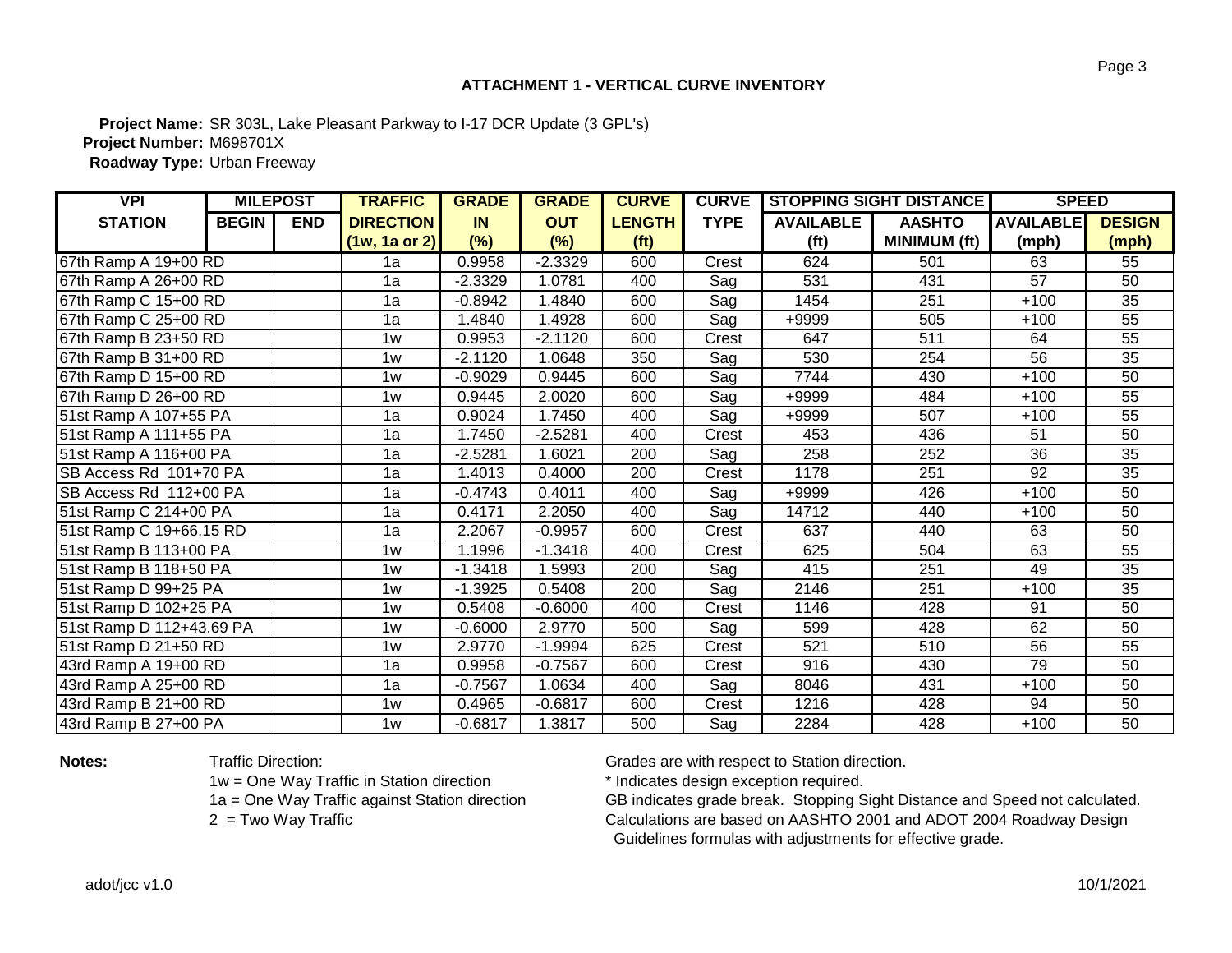## **ATTACHMENT 1 - VERTICAL CURVE INVENTORY**

**Project Name:** SR 303L, Lake Pleasant Parkway to I-17 DCR Update (3 GPL's) **Project Number:** M698701X **Roadway Type:** Urban Freeway

| <b>VPI</b>               | <b>MILEPOST</b> |            | <b>TRAFFIC</b>   | <b>GRADE</b> | <b>GRADE</b> | <b>CURVE</b>      | <b>CURVE</b> |                   | <b>STOPPING SIGHT DISTANCE</b> | <b>SPEED</b>     |                 |
|--------------------------|-----------------|------------|------------------|--------------|--------------|-------------------|--------------|-------------------|--------------------------------|------------------|-----------------|
| <b>STATION</b>           | <b>BEGIN</b>    | <b>END</b> | <b>DIRECTION</b> | <b>IN</b>    | <b>OUT</b>   | <b>LENGTH</b>     | <b>TYPE</b>  | <b>AVAILABLE</b>  | <b>AASHTO</b>                  | <b>AVAILABLE</b> | <b>DESIGN</b>   |
|                          |                 |            | $(1w, 1a$ or 2)  | (%)          | (%)          | (f <sup>t</sup> ) |              | (f <sup>t</sup> ) | <b>MINIMUM (ft)</b>            | (mph)            | (mph)           |
| 67th Ramp A 19+00 RD     |                 |            | 1a               | 0.9958       | $-2.3329$    | 600               | Crest        | 624               | 501                            | 63               | 55              |
| 67th Ramp A 26+00 RD     |                 |            | 1a               | $-2.3329$    | 1.0781       | 400               | Sag          | 531               | 431                            | 57               | 50              |
| 67th Ramp C 15+00 RD     |                 |            | 1a               | $-0.8942$    | 1.4840       | 600               | Sag          | 1454              | 251                            | $+100$           | 35              |
| 67th Ramp C 25+00 RD     |                 |            | 1a               | 1.4840       | 1.4928       | 600               | Sag          | +9999             | 505                            | $+100$           | 55              |
| 67th Ramp B 23+50 RD     |                 |            | 1w               | 0.9953       | $-2.1120$    | 600               | Crest        | 647               | 511                            | 64               | 55              |
| 67th Ramp B 31+00 RD     |                 |            | 1w               | $-2.1120$    | 1.0648       | 350               | Sag          | 530               | 254                            | 56               | 35              |
| 67th Ramp D 15+00 RD     |                 |            | 1w               | $-0.9029$    | 0.9445       | 600               | Sag          | 7744              | 430                            | $+100$           | 50              |
| 67th Ramp D 26+00 RD     |                 |            | 1w               | 0.9445       | 2.0020       | 600               | Sag          | +9999             | 484                            | $+100$           | 55              |
| 51st Ramp A 107+55 PA    |                 |            | 1a               | 0.9024       | 1.7450       | 400               | Sag          | +9999             | 507                            | $+100$           | $\overline{55}$ |
| 51st Ramp A 111+55 PA    |                 |            | 1a               | 1.7450       | $-2.5281$    | 400               | Crest        | 453               | 436                            | 51               | 50              |
| 51st Ramp A 116+00 PA    |                 |            | 1a               | $-2.5281$    | 1.6021       | 200               | Sag          | 258               | 252                            | $\overline{36}$  | $\overline{35}$ |
| SB Access Rd 101+70 PA   |                 |            | 1a               | 1.4013       | 0.4000       | 200               | Crest        | 1178              | $\overline{251}$               | 92               | 35              |
| SB Access Rd 112+00 PA   |                 |            | 1a               | $-0.4743$    | 0.4011       | 400               | Sag          | +9999             | 426                            | $+100$           | 50              |
| 51st Ramp C 214+00 PA    |                 |            | 1a               | 0.4171       | 2.2050       | 400               | Sag          | 14712             | 440                            | $+100$           | 50              |
| 51st Ramp C 19+66.15 RD  |                 |            | 1a               | 2.2067       | $-0.9957$    | 600               | Crest        | 637               | 440                            | 63               | 50              |
| 51st Ramp B 113+00 PA    |                 |            | 1w               | 1.1996       | $-1.3418$    | 400               | Crest        | 625               | 504                            | 63               | 55              |
| 51st Ramp B 118+50 PA    |                 |            | 1w               | $-1.3418$    | 1.5993       | 200               | Sag          | 415               | 251                            | 49               | $\overline{35}$ |
| 51st Ramp D 99+25 PA     |                 |            | 1w               | $-1.3925$    | 0.5408       | 200               | Sag          | 2146              | 251                            | $+100$           | 35              |
| 51st Ramp D 102+25 PA    |                 |            | 1w               | 0.5408       | $-0.6000$    | 400               | Crest        | 1146              | 428                            | 91               | 50              |
| 51st Ramp D 112+43.69 PA |                 |            | 1w               | $-0.6000$    | 2.9770       | 500               | Sag          | 599               | 428                            | 62               | 50              |
| 51st Ramp D 21+50 RD     |                 |            | 1w               | 2.9770       | $-1.9994$    | 625               | Crest        | 521               | 510                            | 56               | 55              |
| 43rd Ramp A 19+00 RD     |                 |            | 1a               | 0.9958       | $-0.7567$    | 600               | Crest        | 916               | 430                            | 79               | 50              |
| 43rd Ramp A 25+00 RD     |                 |            | 1a               | $-0.7567$    | 1.0634       | 400               | Sag          | 8046              | 431                            | $+100$           | 50              |
| 43rd Ramp B 21+00 RD     |                 |            | 1w               | 0.4965       | $-0.6817$    | 600               | Crest        | 1216              | 428                            | 94               | 50              |
| 43rd Ramp B 27+00 PA     |                 |            | 1w               | $-0.6817$    | 1.3817       | 500               | Sag          | 2284              | 428                            | $+100$           | 50              |

1w = One Way Traffic in Station direction \* 1 \* Indicates design exception required.<br>1a = One Way Traffic against Station direction GB indicates grade break. Stopping S

**Notes:** Traffic Direction: Traffic Direction: Grades are with respect to Station direction.

GB indicates grade break. Stopping Sight Distance and Speed not calculated. 2 = Two Way Traffic **Exercise 2 and Structure Calculations are based on AASHTO 2001 and ADOT 2004 Roadway Design** Guidelines formulas with adjustments for effective grade.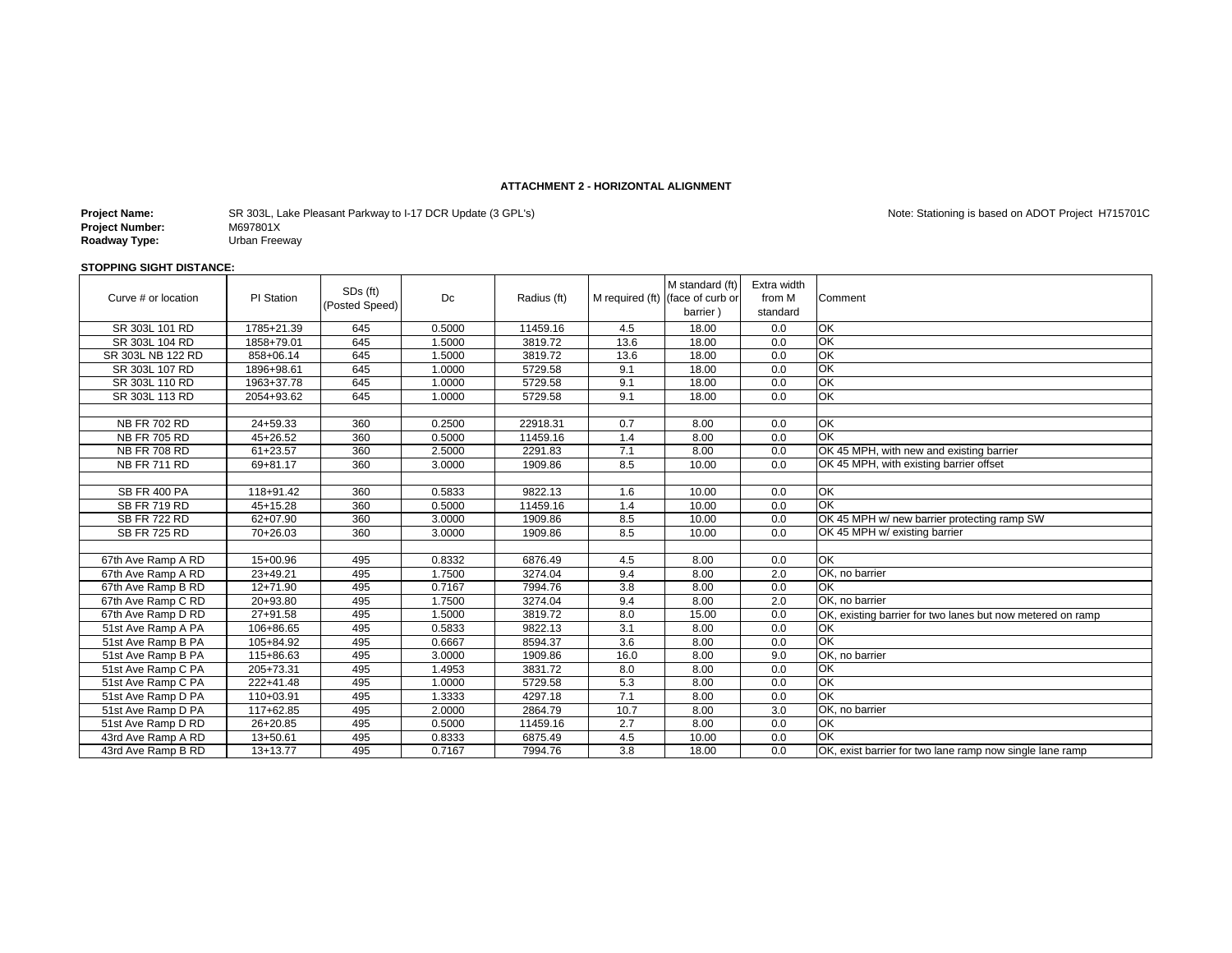#### **ATTACHMENT 2 - HORIZONTAL ALIGNMENT**

| Project Name:   | SR 303L, Lake Pleasant Parkway to I-17 DCR Update (3 GPL's) |
|-----------------|-------------------------------------------------------------|
| Project Number: | M697801X                                                    |
| Roadway Type:   | Urban Freeway                                               |

Note: Stationing is based on ADOT Project H715701C

#### **STOPPING SIGHT DISTANCE:**

| Curve # or location | PI Station   | SDs (ft)<br>(Posted Speed) | Dc     | Radius (ft) |                  | M standard (ft)<br>M required (ft) (face of curb or<br>barrier) | Extra width<br>from M<br>standard | Comment                                                    |
|---------------------|--------------|----------------------------|--------|-------------|------------------|-----------------------------------------------------------------|-----------------------------------|------------------------------------------------------------|
| SR 303L 101 RD      | 1785+21.39   | 645                        | 0.5000 | 11459.16    | 4.5              | 18.00                                                           | 0.0                               | OK                                                         |
| SR 303L 104 RD      | 1858+79.01   | 645                        | 1.5000 | 3819.72     | 13.6             | 18.00                                                           | 0.0                               | OK                                                         |
| SR 303L NB 122 RD   | 858+06.14    | 645                        | 1.5000 | 3819.72     | 13.6             | 18.00                                                           | 0.0                               | OK                                                         |
| SR 303L 107 RD      | 1896+98.61   | 645                        | 1.0000 | 5729.58     | 9.1              | 18.00                                                           | 0.0                               | OK                                                         |
| SR 303L 110 RD      | 1963+37.78   | 645                        | 1.0000 | 5729.58     | 9.1              | 18.00                                                           | 0.0                               | OK                                                         |
| SR 303L 113 RD      | 2054+93.62   | 645                        | 1.0000 | 5729.58     | 9.1              | 18.00                                                           | 0.0                               | OK                                                         |
|                     |              |                            |        |             |                  |                                                                 |                                   |                                                            |
| <b>NB FR 702 RD</b> | 24+59.33     | 360                        | 0.2500 | 22918.31    | 0.7              | 8.00                                                            | 0.0                               | OK                                                         |
| <b>NB FR 705 RD</b> | 45+26.52     | 360                        | 0.5000 | 11459.16    | 1.4              | 8.00                                                            | 0.0                               | QK                                                         |
| <b>NB FR 708 RD</b> | $61 + 23.57$ | 360                        | 2.5000 | 2291.83     | 7.1              | 8.00                                                            | 0.0                               | OK 45 MPH, with new and existing barrier                   |
| <b>NB FR 711 RD</b> | 69+81.17     | 360                        | 3.0000 | 1909.86     | 8.5              | 10.00                                                           | 0.0                               | OK 45 MPH, with existing barrier offset                    |
|                     |              |                            |        |             |                  |                                                                 |                                   |                                                            |
| <b>SB FR 400 PA</b> | 118+91.42    | 360                        | 0.5833 | 9822.13     | 1.6              | 10.00                                                           | 0.0                               | OK                                                         |
| SB FR 719 RD        | 45+15.28     | 360                        | 0.5000 | 11459.16    | 1.4              | 10.00                                                           | 0.0                               | OK                                                         |
| <b>SB FR 722 RD</b> | $62+07.90$   | 360                        | 3.0000 | 1909.86     | 8.5              | 10.00                                                           | 0.0                               | OK 45 MPH w/ new barrier protecting ramp SW                |
| <b>SB FR 725 RD</b> | 70+26.03     | 360                        | 3.0000 | 1909.86     | 8.5              | 10.00                                                           | 0.0                               | OK 45 MPH w/ existing barrier                              |
|                     |              |                            |        |             |                  |                                                                 |                                   |                                                            |
| 67th Ave Ramp A RD  | 15+00.96     | 495                        | 0.8332 | 6876.49     | 4.5              | 8.00                                                            | 0.0                               | OK                                                         |
| 67th Ave Ramp A RD  | $23+49.21$   | 495                        | 1.7500 | 3274.04     | 9.4              | 8.00                                                            | 2.0                               | OK. no barrier                                             |
| 67th Ave Ramp B RD  | $12+71.90$   | 495                        | 0.7167 | 7994.76     | 3.8              | 8.00                                                            | 0.0                               | OK                                                         |
| 67th Ave Ramp C RD  | 20+93.80     | 495                        | 1.7500 | 3274.04     | 9.4              | 8.00                                                            | 2.0                               | OK. no barrier                                             |
| 67th Ave Ramp D RD  | $27 + 91.58$ | 495                        | 1.5000 | 3819.72     | 8.0              | 15.00                                                           | 0.0                               | OK, existing barrier for two lanes but now metered on ramp |
| 51st Ave Ramp A PA  | 106+86.65    | 495                        | 0.5833 | 9822.13     | 3.1              | 8.00                                                            | 0.0                               | ОK                                                         |
| 51st Ave Ramp B PA  | 105+84.92    | 495                        | 0.6667 | 8594.37     | 3.6              | 8.00                                                            | 0.0                               | OK                                                         |
| 51st Ave Ramp B PA  | 115+86.63    | 495                        | 3.0000 | 1909.86     | 16.0             | 8.00                                                            | 9.0                               | OK, no barrier                                             |
| 51st Ave Ramp C PA  | 205+73.31    | 495                        | 1.4953 | 3831.72     | 8.0              | 8.00                                                            | 0.0                               | QK                                                         |
| 51st Ave Ramp C PA  | 222+41.48    | 495                        | 1.0000 | 5729.58     | 5.3              | 8.00                                                            | 0.0                               | OK                                                         |
| 51st Ave Ramp D PA  | 110+03.91    | 495                        | 1.3333 | 4297.18     | 7.1              | 8.00                                                            | 0.0                               | OK                                                         |
| 51st Ave Ramp D PA  | 117+62.85    | 495                        | 2.0000 | 2864.79     | 10.7             | 8.00                                                            | 3.0                               | OK. no barrier                                             |
| 51st Ave Ramp D RD  | 26+20.85     | 495                        | 0.5000 | 11459.16    | 2.7              | 8.00                                                            | 0.0                               | OK                                                         |
| 43rd Ave Ramp A RD  | 13+50.61     | 495                        | 0.8333 | 6875.49     | 4.5              | 10.00                                                           | 0.0                               | ОK                                                         |
| 43rd Ave Ramp B RD  | 13+13.77     | 495                        | 0.7167 | 7994.76     | $\overline{3.8}$ | 18.00                                                           | 0.0                               | OK, exist barrier for two lane ramp now single lane ramp   |